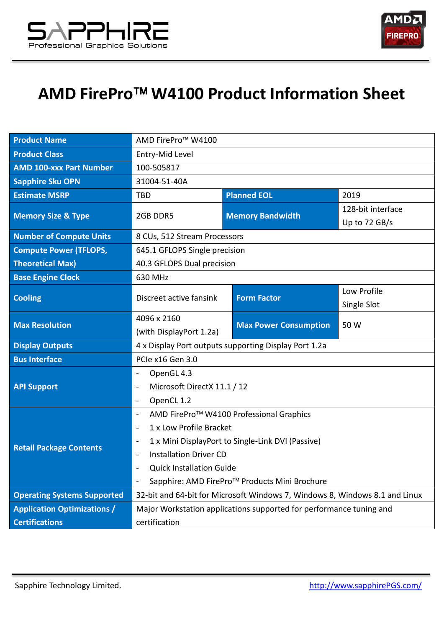



## **AMD FirePro W4100 Product Information Sheet**

| <b>Product Name</b>                | AMD FirePro <sup>™</sup> W4100                                              |                              |                   |
|------------------------------------|-----------------------------------------------------------------------------|------------------------------|-------------------|
| <b>Product Class</b>               | Entry-Mid Level                                                             |                              |                   |
| <b>AMD 100-xxx Part Number</b>     | 100-505817                                                                  |                              |                   |
| <b>Sapphire Sku OPN</b>            | 31004-51-40A                                                                |                              |                   |
| <b>Estimate MSRP</b>               | <b>TBD</b>                                                                  | <b>Planned EOL</b>           | 2019              |
| <b>Memory Size &amp; Type</b>      | 2GB DDR5                                                                    | <b>Memory Bandwidth</b>      | 128-bit interface |
|                                    |                                                                             |                              | Up to 72 GB/s     |
| <b>Number of Compute Units</b>     | 8 CUs, 512 Stream Processors                                                |                              |                   |
| <b>Compute Power (TFLOPS,</b>      | 645.1 GFLOPS Single precision                                               |                              |                   |
| <b>Theoretical Max)</b>            | 40.3 GFLOPS Dual precision                                                  |                              |                   |
| <b>Base Engine Clock</b>           | 630 MHz                                                                     |                              |                   |
| <b>Cooling</b>                     | Discreet active fansink                                                     | <b>Form Factor</b>           | Low Profile       |
|                                    |                                                                             |                              | Single Slot       |
| <b>Max Resolution</b>              | 4096 x 2160                                                                 | <b>Max Power Consumption</b> | 50 W              |
|                                    | (with DisplayPort 1.2a)                                                     |                              |                   |
| <b>Display Outputs</b>             | 4 x Display Port outputs supporting Display Port 1.2a                       |                              |                   |
| <b>Bus Interface</b>               | PCIe x16 Gen 3.0                                                            |                              |                   |
| <b>API Support</b>                 | OpenGL 4.3<br>$\blacksquare$                                                |                              |                   |
|                                    | Microsoft DirectX 11.1 / 12<br>$\blacksquare$                               |                              |                   |
|                                    | OpenCL 1.2<br>$\ddot{\phantom{1}}$                                          |                              |                   |
| <b>Retail Package Contents</b>     | AMD FirePro™ W4100 Professional Graphics<br>$\overline{\phantom{a}}$        |                              |                   |
|                                    | 1 x Low Profile Bracket<br>$\overline{\phantom{a}}$                         |                              |                   |
|                                    | 1 x Mini DisplayPort to Single-Link DVI (Passive)<br>$\frac{1}{2}$          |                              |                   |
|                                    | <b>Installation Driver CD</b>                                               |                              |                   |
|                                    | <b>Quick Installation Guide</b>                                             |                              |                   |
|                                    | Sapphire: AMD FirePro™ Products Mini Brochure<br>$\blacksquare$             |                              |                   |
| <b>Operating Systems Supported</b> | 32-bit and 64-bit for Microsoft Windows 7, Windows 8, Windows 8.1 and Linux |                              |                   |
| <b>Application Optimizations /</b> | Major Workstation applications supported for performance tuning and         |                              |                   |
| <b>Certifications</b>              | certification                                                               |                              |                   |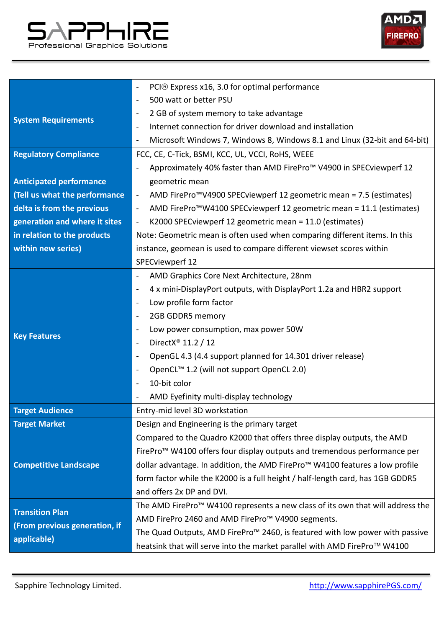



|                                | PCI® Express x16, 3.0 for optimal performance<br>$\overline{\phantom{a}}$                                    |  |  |
|--------------------------------|--------------------------------------------------------------------------------------------------------------|--|--|
| <b>System Requirements</b>     | 500 watt or better PSU<br>$\overline{\phantom{a}}$                                                           |  |  |
|                                | 2 GB of system memory to take advantage<br>$\qquad \qquad \blacksquare$                                      |  |  |
|                                | Internet connection for driver download and installation<br>$\overline{\phantom{a}}$                         |  |  |
|                                | Microsoft Windows 7, Windows 8, Windows 8.1 and Linux (32-bit and 64-bit)<br>$\blacksquare$                  |  |  |
| <b>Regulatory Compliance</b>   | FCC, CE, C-Tick, BSMI, KCC, UL, VCCI, RoHS, WEEE                                                             |  |  |
|                                | Approximately 40% faster than AMD FirePro <sup>™</sup> V4900 in SPECviewperf 12<br>$\overline{\phantom{a}}$  |  |  |
| <b>Anticipated performance</b> | geometric mean                                                                                               |  |  |
| (Tell us what the performance  | AMD FirePro <sup>™</sup> V4900 SPECviewperf 12 geometric mean = 7.5 (estimates)<br>$\blacksquare$            |  |  |
| delta is from the previous     | AMD FirePro <sup>™</sup> W4100 SPECviewperf 12 geometric mean = 11.1 (estimates)<br>$\overline{\phantom{a}}$ |  |  |
| generation and where it sites  | K2000 SPECviewperf 12 geometric mean = 11.0 (estimates)<br>$\blacksquare$                                    |  |  |
| in relation to the products    | Note: Geometric mean is often used when comparing different items. In this                                   |  |  |
| within new series)             | instance, geomean is used to compare different viewset scores within                                         |  |  |
|                                | SPECviewperf 12                                                                                              |  |  |
| <b>Key Features</b>            | AMD Graphics Core Next Architecture, 28nm<br>$\overline{\phantom{a}}$                                        |  |  |
|                                | 4 x mini-DisplayPort outputs, with DisplayPort 1.2a and HBR2 support<br>$\overline{\phantom{a}}$             |  |  |
|                                | Low profile form factor<br>$\blacksquare$                                                                    |  |  |
|                                | 2GB GDDR5 memory<br>$\blacksquare$                                                                           |  |  |
|                                | Low power consumption, max power 50W<br>$\overline{\phantom{a}}$                                             |  |  |
|                                | DirectX <sup>®</sup> 11.2 / 12<br>$\overline{\phantom{a}}$                                                   |  |  |
|                                | OpenGL 4.3 (4.4 support planned for 14.301 driver release)<br>$\blacksquare$                                 |  |  |
|                                | OpenCL <sup>™</sup> 1.2 (will not support OpenCL 2.0)<br>$\blacksquare$                                      |  |  |
|                                | 10-bit color<br>$\blacksquare$                                                                               |  |  |
|                                | AMD Eyefinity multi-display technology                                                                       |  |  |
| <b>Target Audience</b>         | Entry-mid level 3D workstation                                                                               |  |  |
| <b>Target Market</b>           | Design and Engineering is the primary target                                                                 |  |  |
| <b>Competitive Landscape</b>   | Compared to the Quadro K2000 that offers three display outputs, the AMD                                      |  |  |
|                                | FirePro™ W4100 offers four display outputs and tremendous performance per                                    |  |  |
|                                | dollar advantage. In addition, the AMD FirePro <sup>™</sup> W4100 features a low profile                     |  |  |
|                                | form factor while the K2000 is a full height / half-length card, has 1GB GDDR5                               |  |  |
|                                | and offers 2x DP and DVI.                                                                                    |  |  |
| <b>Transition Plan</b>         | The AMD FirePro <sup>™</sup> W4100 represents a new class of its own that will address the                   |  |  |
| (From previous generation, if  | AMD FirePro 2460 and AMD FirePro <sup>™</sup> V4900 segments.                                                |  |  |
| applicable)                    | The Quad Outputs, AMD FirePro <sup>™</sup> 2460, is featured with low power with passive                     |  |  |
|                                | heatsink that will serve into the market parallel with AMD FirePro™ W4100                                    |  |  |